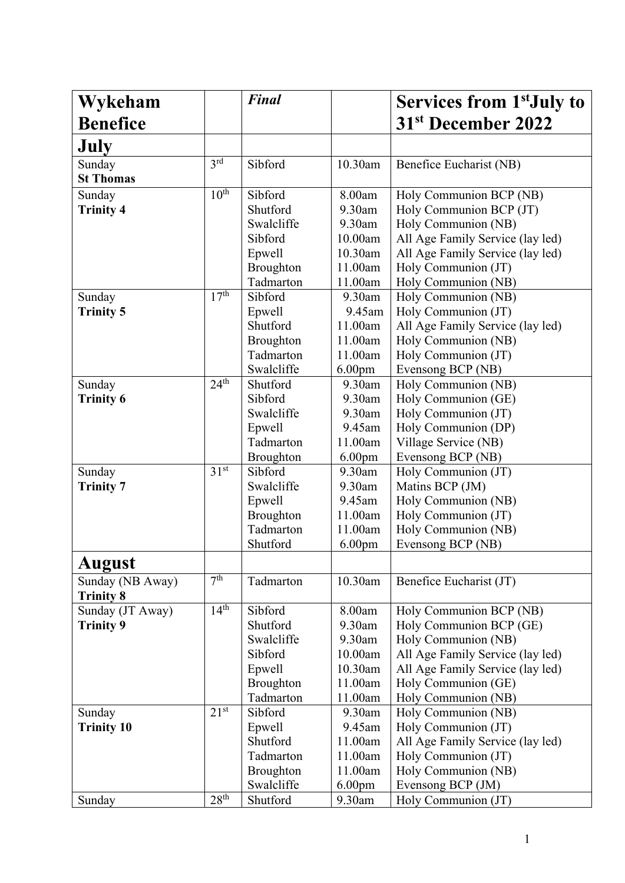| Wykeham                    |                  | <b>Final</b>                   |                               | Services from 1 <sup>st</sup> July to      |
|----------------------------|------------------|--------------------------------|-------------------------------|--------------------------------------------|
| <b>Benefice</b>            |                  |                                |                               | 31 <sup>st</sup> December 2022             |
| July                       |                  |                                |                               |                                            |
| Sunday                     | 3 <sup>rd</sup>  | Sibford                        | 10.30am                       | Benefice Eucharist (NB)                    |
| <b>St Thomas</b>           |                  |                                |                               |                                            |
| Sunday                     | 10 <sup>th</sup> | Sibford                        | 8.00am                        | Holy Communion BCP (NB)                    |
| <b>Trinity 4</b>           |                  | Shutford                       | 9.30am                        | Holy Communion BCP (JT)                    |
|                            |                  | Swalcliffe                     | 9.30am                        | Holy Communion (NB)                        |
|                            |                  | Sibford                        | 10.00am                       | All Age Family Service (lay led)           |
|                            |                  | Epwell                         | 10.30am                       | All Age Family Service (lay led)           |
|                            |                  | Broughton                      | 11.00am                       | Holy Communion (JT)                        |
|                            |                  | Tadmarton                      | 11.00am                       | Holy Communion (NB)                        |
| Sunday                     | 17 <sup>th</sup> | Sibford                        | 9.30am                        | Holy Communion (NB)                        |
| <b>Trinity 5</b>           |                  | Epwell                         | 9.45am                        | Holy Communion (JT)                        |
|                            |                  | Shutford                       | 11.00am                       | All Age Family Service (lay led)           |
|                            |                  | <b>Broughton</b>               | 11.00am                       | Holy Communion (NB)                        |
|                            |                  | Tadmarton                      | 11.00am                       | Holy Communion (JT)                        |
|                            | 24 <sup>th</sup> | Swalcliffe<br>Shutford         | 6.00 <sub>pm</sub><br>9.30am  | Evensong BCP (NB)                          |
| Sunday<br><b>Trinity 6</b> |                  | Sibford                        | 9.30am                        | Holy Communion (NB)<br>Holy Communion (GE) |
|                            |                  | Swalcliffe                     | 9.30am                        | Holy Communion (JT)                        |
|                            |                  | Epwell                         | 9.45am                        | Holy Communion (DP)                        |
|                            |                  | Tadmarton                      | 11.00am                       | Village Service (NB)                       |
|                            |                  | <b>Broughton</b>               | 6.00 <sub>pm</sub>            | Evensong BCP (NB)                          |
| Sunday                     | 31 <sup>st</sup> | Sibford                        | 9.30am                        | Holy Communion (JT)                        |
| <b>Trinity 7</b>           |                  | Swalcliffe                     | 9.30am                        | Matins BCP (JM)                            |
|                            |                  | Epwell                         | 9.45am                        | Holy Communion (NB)                        |
|                            |                  | <b>Broughton</b>               | 11.00am                       | Holy Communion (JT)                        |
|                            |                  | Tadmarton                      | 11.00am                       | Holy Communion (NB)                        |
|                            |                  | Shutford                       | 6.00 <sub>pm</sub>            | Evensong BCP (NB)                          |
| August                     |                  |                                |                               |                                            |
| Sunday (NB Away)           | 7 <sup>th</sup>  | Tadmarton                      | 10.30am                       | Benefice Eucharist (JT)                    |
| <b>Trinity 8</b>           |                  |                                |                               |                                            |
| Sunday (JT Away)           | 14 <sup>th</sup> | Sibford                        | 8.00am                        | Holy Communion BCP (NB)                    |
| <b>Trinity 9</b>           |                  | Shutford                       | 9.30am                        | Holy Communion BCP (GE)                    |
|                            |                  | Swalcliffe                     | 9.30am                        | Holy Communion (NB)                        |
|                            |                  | Sibford                        | 10.00am                       | All Age Family Service (lay led)           |
|                            |                  | Epwell                         | 10.30am                       | All Age Family Service (lay led)           |
|                            |                  | Broughton                      | 11.00am                       | Holy Communion (GE)                        |
|                            |                  | Tadmarton                      | 11.00am                       | Holy Communion (NB)                        |
| Sunday                     | $21^{st}$        | Sibford                        | 9.30am                        | Holy Communion (NB)                        |
| <b>Trinity 10</b>          |                  | Epwell                         | 9.45am                        | Holy Communion (JT)                        |
|                            |                  | Shutford                       | 11.00am                       | All Age Family Service (lay led)           |
|                            |                  | Tadmarton                      | 11.00am                       | Holy Communion (JT)                        |
|                            |                  | <b>Broughton</b><br>Swalcliffe | 11.00am<br>6.00 <sub>pm</sub> | Holy Communion (NB)<br>Evensong BCP (JM)   |
| Sunday                     | 28 <sup>th</sup> | Shutford                       | 9.30am                        | Holy Communion (JT)                        |
|                            |                  |                                |                               |                                            |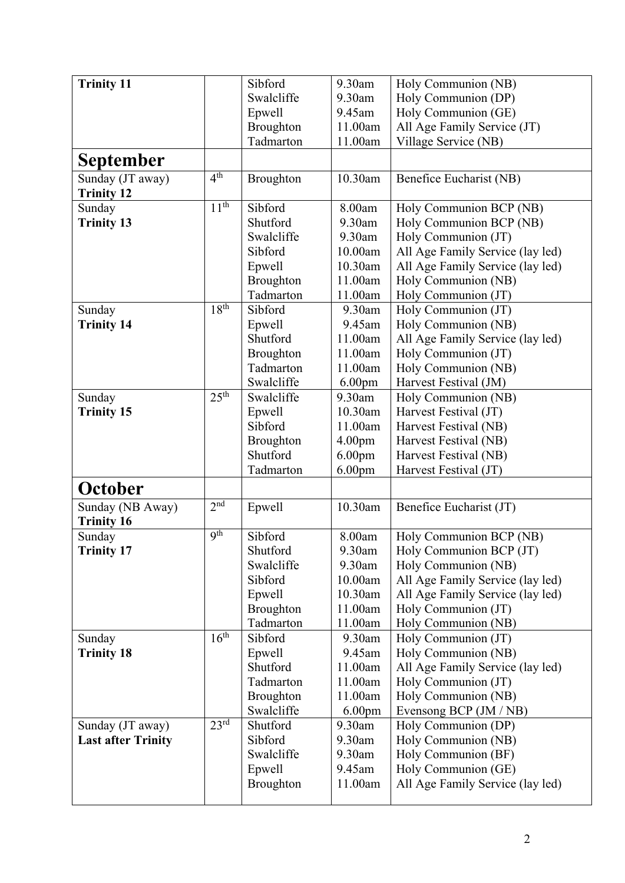| <b>Trinity 11</b>         |                  | Sibford          | 9.30am             | Holy Communion (NB)              |
|---------------------------|------------------|------------------|--------------------|----------------------------------|
|                           |                  | Swalcliffe       | 9.30am             | Holy Communion (DP)              |
|                           |                  | Epwell           | 9.45am             | Holy Communion (GE)              |
|                           |                  | Broughton        | 11.00am            | All Age Family Service (JT)      |
|                           |                  | Tadmarton        | 11.00am            | Village Service (NB)             |
| September                 |                  |                  |                    |                                  |
| Sunday (JT away)          | 4 <sup>th</sup>  | Broughton        | 10.30am            | Benefice Eucharist (NB)          |
| <b>Trinity 12</b>         |                  |                  |                    |                                  |
| Sunday                    | 11 <sup>th</sup> | Sibford          | 8.00am             | Holy Communion BCP (NB)          |
| <b>Trinity 13</b>         |                  | Shutford         | 9.30am             | Holy Communion BCP (NB)          |
|                           |                  | Swalcliffe       | 9.30am             | Holy Communion (JT)              |
|                           |                  | Sibford          | 10.00am            | All Age Family Service (lay led) |
|                           |                  | Epwell           | 10.30am            | All Age Family Service (lay led) |
|                           |                  | Broughton        | 11.00am            | Holy Communion (NB)              |
|                           |                  | Tadmarton        | 11.00am            | Holy Communion (JT)              |
| Sunday                    | 18 <sup>th</sup> | Sibford          | 9.30am             | Holy Communion (JT)              |
| <b>Trinity 14</b>         |                  | Epwell           | 9.45am             | Holy Communion (NB)              |
|                           |                  | Shutford         | 11.00am            | All Age Family Service (lay led) |
|                           |                  | Broughton        | 11.00am            | Holy Communion (JT)              |
|                           |                  | Tadmarton        | 11.00am            | Holy Communion (NB)              |
|                           |                  | Swalcliffe       | 6.00 <sub>pm</sub> | Harvest Festival (JM)            |
| Sunday                    | 25 <sup>th</sup> | Swalcliffe       | 9.30am             | Holy Communion (NB)              |
| <b>Trinity 15</b>         |                  | Epwell           | 10.30am            | Harvest Festival (JT)            |
|                           |                  | Sibford          | 11.00am            | Harvest Festival (NB)            |
|                           |                  | <b>Broughton</b> | 4.00 <sub>pm</sub> | Harvest Festival (NB)            |
|                           |                  | Shutford         | 6.00 <sub>pm</sub> | Harvest Festival (NB)            |
|                           |                  | Tadmarton        | 6.00 <sub>pm</sub> | Harvest Festival (JT)            |
| October                   |                  |                  |                    |                                  |
| Sunday (NB Away)          | 2 <sup>nd</sup>  | Epwell           | 10.30am            | Benefice Eucharist (JT)          |
| <b>Trinity 16</b>         |                  |                  |                    |                                  |
| Sunday                    | <b>9th</b>       | Sibford          | 8.00am             | Holy Communion BCP (NB)          |
| <b>Trinity 17</b>         |                  | Shutford         | 9.30am             | Holy Communion BCP (JT)          |
|                           |                  | Swalcliffe       | 9.30am             | Holy Communion (NB)              |
|                           |                  | Sibford          | 10.00am            | All Age Family Service (lay led) |
|                           |                  | Epwell           | 10.30am            | All Age Family Service (lay led) |
|                           |                  | <b>Broughton</b> | 11.00am            | Holy Communion (JT)              |
|                           |                  | Tadmarton        | 11.00am            | Holy Communion (NB)              |
| Sunday                    | 16 <sup>th</sup> | Sibford          | 9.30am             | Holy Communion (JT)              |
| <b>Trinity 18</b>         |                  | Epwell           | 9.45am             | Holy Communion (NB)              |
|                           |                  | Shutford         | 11.00am            | All Age Family Service (lay led) |
|                           |                  | Tadmarton        | 11.00am            | Holy Communion (JT)              |
|                           |                  | <b>Broughton</b> | 11.00am            | Holy Communion (NB)              |
|                           |                  | Swalcliffe       | 6.00 <sub>pm</sub> | Evensong BCP (JM / NB)           |
| Sunday (JT away)          | 23 <sup>rd</sup> | Shutford         | 9.30am             | Holy Communion (DP)              |
| <b>Last after Trinity</b> |                  | Sibford          | 9.30am             | Holy Communion (NB)              |
|                           |                  | Swalcliffe       | 9.30am             | Holy Communion (BF)              |
|                           |                  | Epwell           | 9.45am             | Holy Communion (GE)              |
|                           |                  | <b>Broughton</b> | 11.00am            | All Age Family Service (lay led) |
|                           |                  |                  |                    |                                  |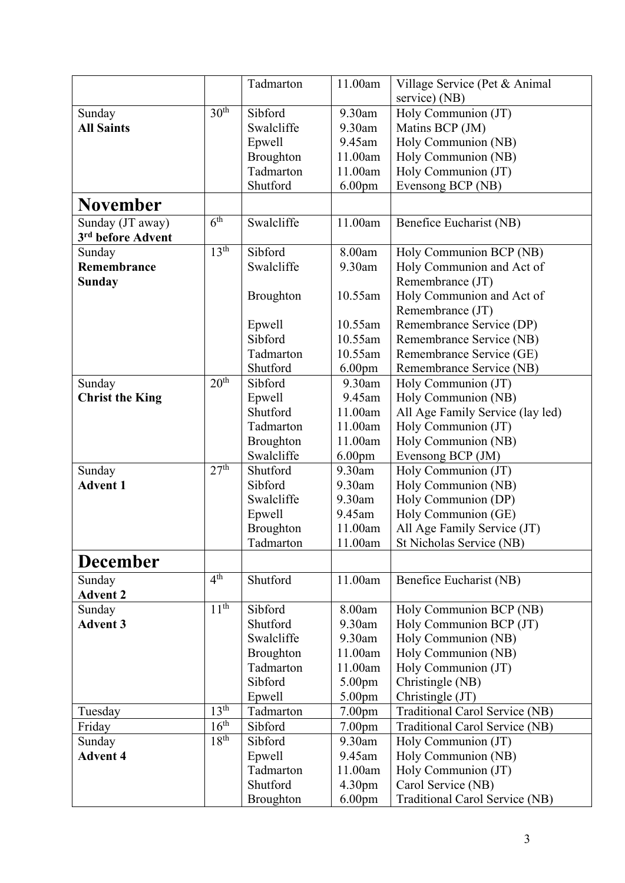|                               |                  | Tadmarton             | 11.00am            | Village Service (Pet & Animal                      |
|-------------------------------|------------------|-----------------------|--------------------|----------------------------------------------------|
|                               |                  |                       |                    | service) (NB)                                      |
| Sunday                        | 30 <sup>th</sup> | Sibford               | 9.30am             | Holy Communion (JT)                                |
| <b>All Saints</b>             |                  | Swalcliffe            | 9.30am             | Matins BCP (JM)                                    |
|                               |                  | Epwell                | 9.45am             | Holy Communion (NB)                                |
|                               |                  | Broughton             | 11.00am            | Holy Communion (NB)                                |
|                               |                  | Tadmarton             | 11.00am            | Holy Communion (JT)                                |
|                               |                  | Shutford              | 6.00 <sub>pm</sub> | Evensong BCP (NB)                                  |
| <b>November</b>               |                  |                       |                    |                                                    |
| Sunday (JT away)              | 6 <sup>th</sup>  | Swalcliffe            | 11.00am            | Benefice Eucharist (NB)                            |
| 3 <sup>rd</sup> before Advent |                  |                       |                    |                                                    |
| Sunday                        | 13 <sup>th</sup> | Sibford               | 8.00am             | Holy Communion BCP (NB)                            |
| Remembrance                   |                  | Swalcliffe            | 9.30am             | Holy Communion and Act of                          |
| Sunday                        |                  |                       |                    | Remembrance (JT)                                   |
|                               |                  | <b>Broughton</b>      | 10.55am            | Holy Communion and Act of                          |
|                               |                  |                       |                    | Remembrance (JT)                                   |
|                               |                  | Epwell                | 10.55am            | Remembrance Service (DP)                           |
|                               |                  | Sibford               | 10.55am            | Remembrance Service (NB)                           |
|                               |                  | Tadmarton             | 10.55am            | Remembrance Service (GE)                           |
|                               |                  | Shutford              | 6.00 <sub>pm</sub> | Remembrance Service (NB)                           |
| Sunday                        | 20 <sup>th</sup> | Sibford               | 9.30am             | Holy Communion (JT)                                |
| <b>Christ the King</b>        |                  | Epwell                | 9.45am             | Holy Communion (NB)                                |
|                               |                  | Shutford              | 11.00am            | All Age Family Service (lay led)                   |
|                               |                  | Tadmarton             | 11.00am            | Holy Communion (JT)                                |
|                               |                  | Broughton             | 11.00am            | Holy Communion (NB)                                |
|                               |                  | Swalcliffe            | 6.00 <sub>pm</sub> | Evensong BCP (JM)                                  |
| Sunday                        | 27 <sup>th</sup> | Shutford              | 9.30am             | Holy Communion (JT)                                |
| <b>Advent 1</b>               |                  | Sibford               | 9.30am             | Holy Communion (NB)                                |
|                               |                  | Swalcliffe            | 9.30am             | Holy Communion (DP)                                |
|                               |                  | Epwell                | 9.45am             | Holy Communion (GE)                                |
|                               |                  | Broughton             | 11.00am            | All Age Family Service (JT)                        |
|                               |                  | Tadmarton             | 11.00am            | St Nicholas Service (NB)                           |
| <b>December</b>               |                  |                       |                    |                                                    |
| Sunday                        | 4 <sup>th</sup>  | Shutford              | 11.00am            | Benefice Eucharist (NB)                            |
| <b>Advent 2</b>               |                  |                       |                    |                                                    |
| Sunday                        | 11 <sup>th</sup> | Sibford               | 8.00am             | Holy Communion BCP (NB)                            |
| <b>Advent 3</b>               |                  | Shutford              | 9.30am             | Holy Communion BCP (JT)                            |
|                               |                  | Swalcliffe            | 9.30am             | Holy Communion (NB)                                |
|                               |                  | Broughton             | 11.00am            | Holy Communion (NB)                                |
|                               |                  | Tadmarton<br>Sibford  | 11.00am            | Holy Communion (JT)                                |
|                               |                  |                       | 5.00 <sub>pm</sub> | Christingle (NB)                                   |
|                               | 13 <sup>th</sup> | Epwell<br>Tadmarton   | 5.00pm             | Christingle (JT)<br>Traditional Carol Service (NB) |
| Tuesday                       | $16^{\text{th}}$ |                       | 7.00 <sub>pm</sub> |                                                    |
| Friday                        | 18 <sup>th</sup> | Sibford               | 7.00 <sub>pm</sub> | Traditional Carol Service (NB)                     |
| Sunday                        |                  | Sibford               | 9.30am             | Holy Communion (JT)                                |
| <b>Advent 4</b>               |                  | Epwell                | 9.45am             | Holy Communion (NB)                                |
|                               |                  | Tadmarton<br>Shutford | 11.00am            | Holy Communion (JT)                                |
|                               |                  |                       | 4.30 <sub>pm</sub> | Carol Service (NB)                                 |
|                               |                  | <b>Broughton</b>      | 6.00 <sub>pm</sub> | Traditional Carol Service (NB)                     |